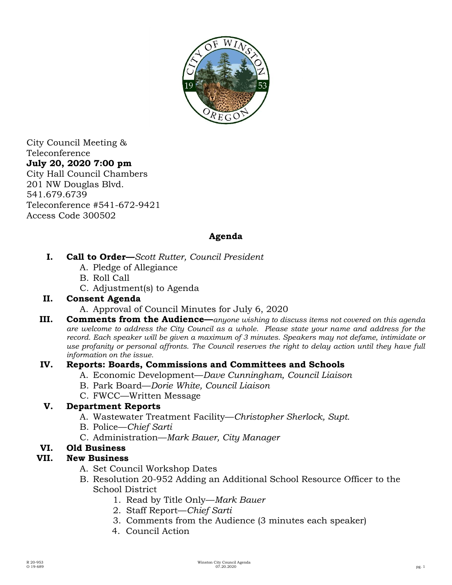

City Council Meeting & Teleconference **July 20, 2020 7:00 pm**  City Hall Council Chambers 201 NW Douglas Blvd. 541.679.6739 Teleconference #541-672-9421 Access Code 300502

# **Agenda**

- **I. Call to Order—***Scott Rutter, Council President*
	- A. Pledge of Allegiance
	- B. Roll Call
	- C. Adjustment(s) to Agenda

## **II. Consent Agenda**

- A. Approval of Council Minutes for July 6, 2020
- **III. Comments from the Audience—***anyone wishing to discuss items not covered on this agenda are welcome to address the City Council as a whole. Please state your name and address for the record. Each speaker will be given a maximum of 3 minutes. Speakers may not defame, intimidate or use profanity or personal affronts. The Council reserves the right to delay action until they have full information on the issue.*

## **IV. Reports: Boards, Commissions and Committees and Schools**

- A. Economic Development—*Dave Cunningham, Council Liaison*
- B. Park Board—*Dorie White, Council Liaison*
- C. FWCC—Written Message

## **V. Department Reports**

- A. Wastewater Treatment Facility—*Christopher Sherlock, Supt.*
- B. Police—*Chief Sarti*
- C. Administration—*Mark Bauer, City Manager*

# **VI. Old Business**

# **VII. New Business**

- A. Set Council Workshop Dates
- B. Resolution 20-952 Adding an Additional School Resource Officer to the School District
	- 1. Read by Title Only—*Mark Bauer*
	- 2. Staff Report—*Chief Sarti*
	- 3. Comments from the Audience (3 minutes each speaker)
	- 4. Council Action